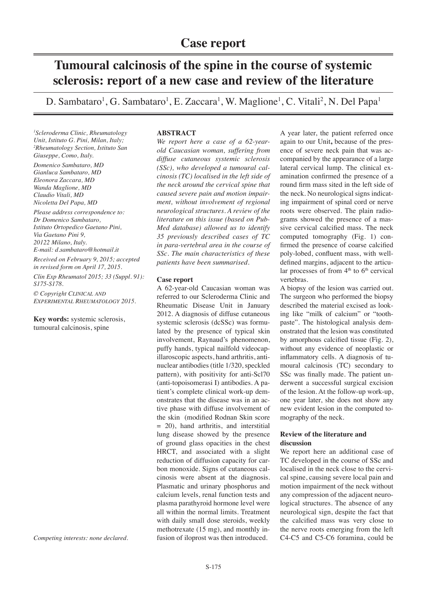# **Tumoural calcinosis of the spine in the course of systemic sclerosis: report of a new case and review of the literature**

D. Sambataro<sup>1</sup>, G. Sambataro<sup>1</sup>, E. Zaccara<sup>1</sup>, W. Maglione<sup>1</sup>, C. Vitali<sup>2</sup>, N. Del Papa<sup>1</sup>

*1 Scleroderma Clinic, Rheumatology Unit, Istituto G. Pini, Milan, Italy; 2 Rheumatology Section, Istituto San Giuseppe, Como, Italy. Domenico Sambataro, MD Gianluca Sambataro, MD Eleonora Zaccara, MD Wanda Maglione, MD Claudio Vitali, MD Nicoletta Del Papa, MD*

*Please address correspondence to: Dr Domenico Sambataro, Istituto Ortopedico Gaetano Pini, Via Gaetano Pini 9, 20122 Milano, Italy. E-mail: d.sambataro@hotmail.it*

*Received on February 9, 2015; accepted in revised form on April 17, 2015.*

*Clin Exp Rheumatol 2015; 33 (Suppl. 91): S175-S178.*

*© Copyright Clinical and Experimental Rheumatology 2015.*

**Key words:** systemic sclerosis, tumoural calcinosis, spine

*Competing interests: none declared.*

## **ABSTRACT**

*We report here a case of a 62-yearold Caucasian woman, suffering from diffuse cutaneous systemic sclerosis (SSc), who developed a tumoural calcinosis (TC) localised in the left side of the neck around the cervical spine that caused severe pain and motion impairment, without involvement of regional neurological structures. A review of the literature on this issue (based on Pub-Med database) allowed us to identify 35 previously described cases of TC in para-vertebral area in the course of SSc. The main characteristics of these patients have been summarised.*

# **Case report**

A 62-year-old Caucasian woman was referred to our Scleroderma Clinic and Rheumatic Disease Unit in January 2012. A diagnosis of diffuse cutaneous systemic sclerosis (dcSSc) was formulated by the presence of typical skin involvement, Raynaud's phenomenon, puffy hands, typical nailfold videocapillaroscopic aspects, hand arthritis, antinuclear antibodies (title 1/320, speckled pattern), with positivity for anti-Scl70 (anti-topoisomerasi I) antibodies. A patient's complete clinical work-up demonstrates that the disease was in an active phase with diffuse involvement of the skin (modified Rodnan Skin score = 20), hand arthritis, and interstitial lung disease showed by the presence of ground glass opacities in the chest HRCT, and associated with a slight reduction of diffusion capacity for carbon monoxide. Signs of cutaneous calcinosis were absent at the diagnosis. Plasmatic and urinary phosphorus and calcium levels, renal function tests and plasma parathyroid hormone level were all within the normal limits. Treatment with daily small dose steroids, weekly methotrexate (15 mg), and monthly infusion of iloprost was then introduced.

A year later, the patient referred once again to our Unit**,** because of the presence of severe neck pain that was accompanied by the appearance of a large lateral cervical lump. The clinical examination confirmed the presence of a round firm mass sited in the left side of the neck*.* No neurological signs indicating impairment of spinal cord or nerve roots were observed. The plain radiograms showed the presence of a massive cervical calcified mass. The neck computed tomography (Fig. 1) confirmed the presence of coarse calcified poly-lobed, confluent mass, with welldefined margins, adjacent to the articular processes of from  $4<sup>th</sup>$  to  $6<sup>th</sup>$  cervical vertebras.

A biopsy of the lesion was carried out. The surgeon who performed the biopsy described the material excised as looking like "milk of calcium" or "toothpaste". The histological analysis demonstrated that the lesion was constituted by amorphous calcified tissue (Fig. 2), without any evidence of neoplastic or inflammatory cells. A diagnosis of tumoural calcinosis (TC) secondary to SSc was finally made. The patient underwent a successful surgical excision of the lesion. At the follow-up work-up, one year later, she does not show any new evident lesion in the computed tomography of the neck.

# **Review of the literature and discussion**

We report here an additional case of TC developed in the course of SSc and localised in the neck close to the cervical spine, causing severe local pain and motion impairment of the neck without any compression of the adjacent neurological structures. The absence of any neurological sign, despite the fact that the calcified mass was very close to the nerve roots emerging from the left C4-C5 and C5-C6 foramina, could be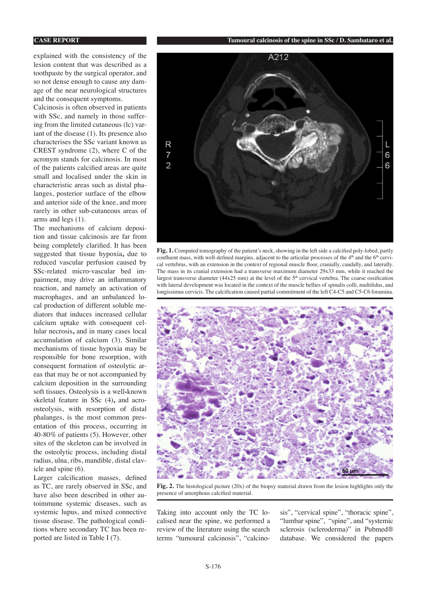explained with the consistency of the lesion content that was described as a toothpaste by the surgical operator, and so not dense enough to cause any damage of the near neurological structures and the consequent symptoms.

Calcinosis is often observed in patients with SSc, and namely in those suffering from the limited cutaneous (lc) variant of the disease (1). Its presence also characterises the SSc variant known as CREST syndrome (2), where C of the acronym stands for calcinosis. In most of the patients calcified areas are quite small and localised under the skin in characteristic areas such as distal phalanges, posterior surface of the elbow and anterior side of the knee, and more rarely in other sub-cutaneous areas of arms and legs (1).

The mechanisms of calcium deposition and tissue calcinosis are far from being completely clarified. It has been suggested that tissue hypoxia**,** due to reduced vascular perfusion caused by SSc-related micro-vascular bed impairment, may drive an inflammatory reaction, and namely an activation of macrophages, and an unbalanced local production of different soluble mediators that induces increased cellular calcium uptake with consequent cellular necrosis**,** and in many cases local accumulation of calcium (3). Similar mechanisms of tissue hypoxia may be responsible for bone resorption, with consequent formation of osteolytic areas that may be or not accompanied by calcium deposition in the surrounding soft tissues. Osteolysis is a well**-**known skeletal feature in SSc (4)**,** and acroosteolysis, with resorption of distal phalanges, is the most common presentation of this process, occurring in 40-80% of patients (5). However, other sites of the skeleton can be involved in the osteolytic process, including distal radius, ulna, ribs, mandible, distal clavicle and spine (6).

Larger calcification masses, defined as TC, are rarely observed in SSc, and have also been described in other autoimmune systemic diseases, such as systemic lupus, and mixed connective tissue disease. The pathological conditions where secondary TC has been reported are listed in Table I (7).



**Fig. 1.** Computed tomography of the patient's neck, showing in the left side a calcified poly-lobed, partly confluent mass, with well-defined margins, adjacent to the articular processes of the 4<sup>th</sup> and the 6<sup>th</sup> cervical vertebras, with an extension in the context of regional muscle floor, cranially, caudally, and laterally. The mass in its cranial extension had a transverse maximum diameter 29x33 mm, while it reached the largest transverse diameter (44x25 mm) at the level of the 5<sup>th</sup> cervical vertebra. The coarse ossification with lateral development was located in the context of the muscle bellies of spinalis colli, multifidus, and longissimus cervicis. The calcification caused partial commitment of the left C4-C5 and C5-C6 foramina.



**Fig. 2.** The histological picture (20x) of the biopsy material drawn from the lesion highlights only the presence of amorphous calcified material.

Taking into account only the TC localised near the spine, we performed a review of the literature using the search terms "tumoural calcinosis", "calcinosis", "cervical spine", "thoracic spine", "lumbar spine", "spine", and "systemic sclerosis (scleroderma)" in Pubmed® database. We considered the papers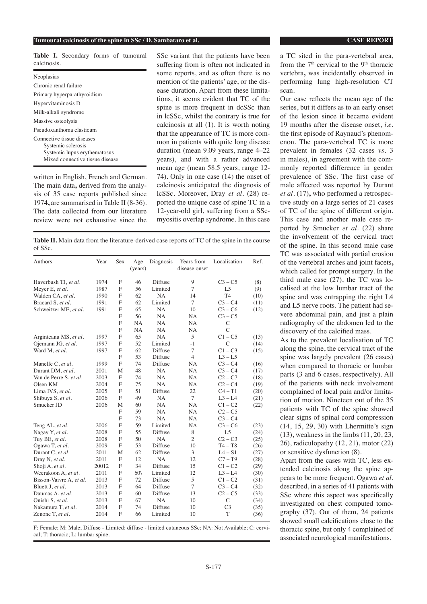### **Tumoural calcinosis of the spine in SSc / D. Sambataro et al. CASE REPORT CASE REPORT**

|             | Table I. Secondary forms of tumoural |  |  |
|-------------|--------------------------------------|--|--|
| calcinosis. |                                      |  |  |

| Neoplasias                                                                                                          |  |  |  |  |  |  |
|---------------------------------------------------------------------------------------------------------------------|--|--|--|--|--|--|
| Chronic renal failure                                                                                               |  |  |  |  |  |  |
| Primary hyperparathyroidism                                                                                         |  |  |  |  |  |  |
| Hypervitaminosis D                                                                                                  |  |  |  |  |  |  |
| Milk-alkali syndrome                                                                                                |  |  |  |  |  |  |
| Massive osteolysis                                                                                                  |  |  |  |  |  |  |
| Pseudoxanthoma elasticum                                                                                            |  |  |  |  |  |  |
| Connective tissue diseases<br>Systemic sclerosis<br>Systemic lupus erythematosus<br>Mixed connective tissue disease |  |  |  |  |  |  |

written in English, French and German. The main data**,** derived from the analysis of 35 case reports published since 1974**,** are summarised in Table II (8-36). The data collected from our literature review were not exhaustive since the

SSc variant that the patients have been suffering from is often not indicated in some reports, and as often there is no mention of the patients' age, or the disease duration. Apart from these limitations, it seems evident that TC of the spine is more frequent in dcSSc than in lcSSc, whilst the contrary is true for calcinosis at all (1). It is worth noting that the appearance of TC is more common in patients with quite long disease duration (mean 9.09 years, range 4–22 years), and with a rather advanced mean age (mean 58.5 years, range 12- 74). Only in one case (14) the onset of calcinosis anticipated the diagnosis of lcSSc. Moreover, Dray *et al.* (28) reported the unique case of spine TC in a 12-year-old girl, suffering from a SScmyositis overlap syndrome. In this case

**Table II.** Main data from the literature-derived case reports of TC of the spine in the course of SSc.

| Authors                 | Year  | Sex            | Age<br>(years) | Diagnosis | Years from<br>disease onset | Localisation   | Ref. |
|-------------------------|-------|----------------|----------------|-----------|-----------------------------|----------------|------|
| Haverbush TJ, et al.    | 1974  | $\mathbf{F}$   | 46             | Diffuse   | 9                           | $C3 - C5$      | (8)  |
| Meyer E, et al.         | 1987  | F              | 56             | Limited   | $\overline{7}$              | L <sub>5</sub> | (9)  |
| Walden CA, et al.       | 1990  | F              | 62             | <b>NA</b> | 14                          | T <sub>4</sub> | (10) |
| Bracard S, et al.       | 1991  | F              | 62             | Limited   | $\overline{7}$              | $C3 - C4$      | (11) |
| Schweitzer ME, et al.   | 1991  | F              | 65             | NA        | 10                          | $C3 - C6$      | (12) |
|                         |       | F              | 56             | <b>NA</b> | <b>NA</b>                   | $C3 - C5$      |      |
|                         |       | F              | <b>NA</b>      | <b>NA</b> | <b>NA</b>                   | $\mathcal{C}$  |      |
|                         |       | $\mathbf{F}$   | <b>NA</b>      | NA        | NA.                         | $\overline{C}$ |      |
| Arginteanu MS, et al.   | 1997  | F              | 65             | <b>NA</b> | 5                           | $C1 - C5$      | (13) |
| Ojemann JG, et al.      | 1997  | $\mathbf{F}$   | 52             | Limited   | $-1$                        | C              | (14) |
| Ward M, et al.          | 1997  | F              | 62             | Diffuse   | $\tau$                      | $C1 - C3$      | (15) |
|                         |       | $\overline{F}$ | 53             | Diffuse   | $\overline{4}$              | $L3 - L5$      |      |
| Manelfe C, et al.       | 1999  | $\overline{F}$ | 74             | Diffuse   | <b>NA</b>                   | $C3 - C4$      | (16) |
| Durant DM, et al.       | 2001  | M              | 48             | <b>NA</b> | <b>NA</b>                   | $C3 - C4$      | (17) |
| Van de Perre S, et al.  | 2003  | F              | 74             | NA        | NA                          | $C2 - C7$      | (18) |
| Olsen KM                | 2004  | F              | 75             | <b>NA</b> | <b>NA</b>                   | $C2 - C4$      | (19) |
| Lima IVS, et al.        | 2005  | F              | 51             | Diffuse   | 22                          | $C4 - T1$      | (20) |
| Shibuya S, et al.       | 2006  | F              | 49             | <b>NA</b> | $\tau$                      | $L3 - L4$      | (21) |
| Smucker JD              | 2006  | M              | 60             | <b>NA</b> | <b>NA</b>                   | $C1 - C2$      | (22) |
|                         |       | $\mathbf{F}$   | 59             | NA        | <b>NA</b>                   | $C2 - C5$      |      |
|                         |       | F              | 73             | NA        | <b>NA</b>                   | $C3 - C4$      |      |
| Teng AL, et al.         | 2006  | F              | 59             | Limited   | <b>NA</b>                   | $C3 - C6$      | (23) |
| Nagay Y, et al.         | 2008  | F              | 55             | Diffuse   | 8                           | L <sub>5</sub> | (24) |
| Tuy BE, et al.          | 2008  | F              | 50             | <b>NA</b> | $\overline{c}$              | $C2 - C3$      | (25) |
| Ogawa T, et al.         | 2009  | F              | 53             | Diffuse   | 10                          | $T4 - T8$      | (26) |
| Durant C, et al.        | 2011  | M              | 62             | Diffuse   | 3                           | $L4-S1$        | (27) |
| Dray N, et al.          | 2011  | $\mathbf{F}$   | 12             | <b>NA</b> | 12                          | $C7 - T9$      | (28) |
| Shoji A, et al.         | 20012 | F              | 34             | Diffuse   | 15                          | $C1 - C2$      | (29) |
| Weerakoon A, et al.     | 2011  | F              | $60\%$         | Limited   | 12                          | $L3 - L4$      | (30) |
| Bisson-Vaivre A, et al. | 2013  | F              | 72             | Diffuse   | 5                           | $C1 - C2$      | (31) |
| Bluett J, et al.        | 2013  | F              | 64             | Diffuse   | $\overline{7}$              | $C3 - C4$      | (32) |
| Daumas A, et al.        | 2013  | $\mathbf{F}$   | 60             | Diffuse   | 13                          | $C2 - C5$      | (33) |
| Onishi S, et al.        | 2013  | F              | 67             | <b>NA</b> | 10                          | $\mathcal{C}$  | (34) |
| Nakamura T, et al.      | 2014  | F              | 74             | Diffuse   | 10                          | C <sub>3</sub> | (35) |
| Zenone T, et al.        | 2014  | $\mathbf{F}$   | 66             | Limited   | 10                          | T              | (36) |

F: Female; M: Male; Diffuse - Limited: diffuse - limited cutaneous SSc; NA: Not Available; C: cervical; T: thoracic; L: lumbar spine.

a TC sited in the para-vertebral area, from the  $7<sup>th</sup>$  cervical to the  $9<sup>th</sup>$  thoracic vertebra**,** was incidentally observed in performing lung high-resolution CT scan.

Our case reflects the mean age of the series, but it differs as to an early onset of the lesion since it became evident 19 months after the disease onset, *i.e.* the first episode of Raynaud's phenomenon. The para-vertebral TC is more prevalent in females (32 cases *vs.* 3 in males), in agreement with the commonly reported difference in gender prevalence of SSc. The first case of male affected was reported by Durant *et al.* (17)**,** who performed a retrospective study on a large series of 21 cases of TC of the spine of different origin. This case and another male case reported by Smucker *et al.* (22) share the involvement of the cervical tract of the spine. In this second male case TC was associated with partial erosion of the vertebral arches and joint facets**,** which called for prompt surgery. In the third male case (27), the TC was localised at the low lumbar tract of the spine and was entrapping the right L4 and L5 nerve roots. The patient had severe abdominal pain, and just a plain radiography of the abdomen led to the discovery of the calcified mass.

As to the prevalent localisation of TC along the spine, the cervical tract of the spine was largely prevalent (26 cases) when compared to thoracic or lumbar parts (3 and 6 cases, respectively). All of the patients with neck involvement complained of local pain and/or limitation of motion. Nineteen out of the 35 patients with TC of the spine showed clear signs of spinal cord compression (14, 15, 29, 30) with Lhermitte's sign (13), weakness in the limbs (11, 20, 23, 26), radiculopathy (12, 21), motor (22) or sensitive dysfunction (8).

Apart from the cases with TC, less extended calcinosis along the spine appears to be more frequent. Ogawa *et al.* described, in a series of 41 patients with SSc where this aspect was specifically investigated on chest computed tomography (37). Out of them, 24 patients showed small calcifications close to the thoracic spine, but only 4 complained of associated neurological manifestations.